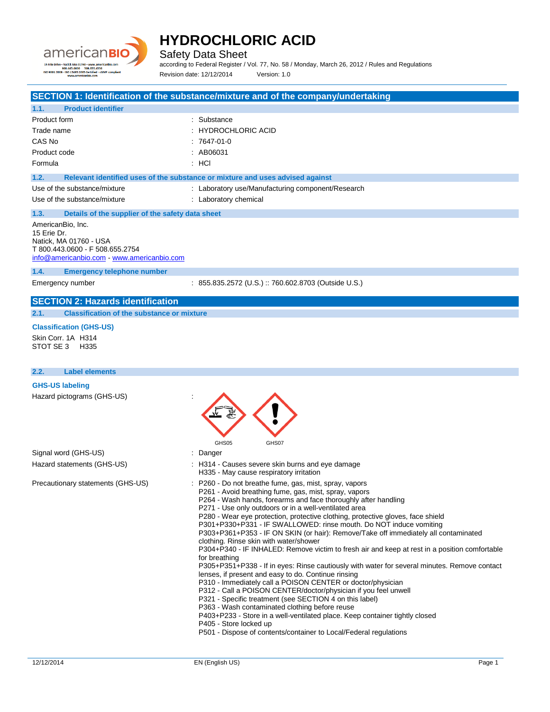

Safety Data Sheet

according to Federal Register / Vol. 77, No. 58 / Monday, March 26, 2012 / Rules and Regulations Revision date: 12/12/2014 Version: 1.0

## **SECTION 1: Identification of the substance/mixture and of the company/undertaking**

| <b>Product identifier</b><br>1.1.                                                                                                         |                                                                               |
|-------------------------------------------------------------------------------------------------------------------------------------------|-------------------------------------------------------------------------------|
| Product form                                                                                                                              | : Substance                                                                   |
| Trade name                                                                                                                                | : HYDROCHLORIC ACID                                                           |
| CAS No                                                                                                                                    | $: 7647-01-0$                                                                 |
| Product code                                                                                                                              | : AB06031                                                                     |
| Formula                                                                                                                                   | $:$ HCI                                                                       |
| 1.2.                                                                                                                                      | Relevant identified uses of the substance or mixture and uses advised against |
| Use of the substance/mixture                                                                                                              | : Laboratory use/Manufacturing component/Research                             |
| Use of the substance/mixture                                                                                                              | : Laboratory chemical                                                         |
| 1.3.<br>Details of the supplier of the safety data sheet                                                                                  |                                                                               |
| AmericanBio, Inc.<br>15 Erie Dr.<br>Natick, MA 01760 - USA<br>T 800.443.0600 - F 508.655.2754<br>info@americanbio.com www.americanbio.com |                                                                               |
| <b>Emergency telephone number</b><br>1.4.                                                                                                 |                                                                               |
| Emergency number                                                                                                                          | : 855.835.2572 (U.S.) :: 760.602.8703 (Outside U.S.)                          |
| <b>SECTION 2: Hazards identification</b>                                                                                                  |                                                                               |
| <b>Classification of the substance or mixture</b><br>2.1.                                                                                 |                                                                               |

### **Classification (GHS-US)**

Skin Corr. 1A H314 STOT SE 3 H335

| <b>Label elements</b><br>2.2.     |                                                                                                                                                                                                                                                                                                                                                                                                                                                                                                                                                                                                                                                                                                                                                                                                                                                                                                                                                                                                                                                                                                                                                                                                                                            |
|-----------------------------------|--------------------------------------------------------------------------------------------------------------------------------------------------------------------------------------------------------------------------------------------------------------------------------------------------------------------------------------------------------------------------------------------------------------------------------------------------------------------------------------------------------------------------------------------------------------------------------------------------------------------------------------------------------------------------------------------------------------------------------------------------------------------------------------------------------------------------------------------------------------------------------------------------------------------------------------------------------------------------------------------------------------------------------------------------------------------------------------------------------------------------------------------------------------------------------------------------------------------------------------------|
| <b>GHS-US labeling</b>            |                                                                                                                                                                                                                                                                                                                                                                                                                                                                                                                                                                                                                                                                                                                                                                                                                                                                                                                                                                                                                                                                                                                                                                                                                                            |
| Hazard pictograms (GHS-US)        | GHS05<br>GHS07                                                                                                                                                                                                                                                                                                                                                                                                                                                                                                                                                                                                                                                                                                                                                                                                                                                                                                                                                                                                                                                                                                                                                                                                                             |
| Signal word (GHS-US)              | : Danger                                                                                                                                                                                                                                                                                                                                                                                                                                                                                                                                                                                                                                                                                                                                                                                                                                                                                                                                                                                                                                                                                                                                                                                                                                   |
| Hazard statements (GHS-US)        | : H314 - Causes severe skin burns and eye damage<br>H335 - May cause respiratory irritation                                                                                                                                                                                                                                                                                                                                                                                                                                                                                                                                                                                                                                                                                                                                                                                                                                                                                                                                                                                                                                                                                                                                                |
| Precautionary statements (GHS-US) | : P260 - Do not breathe fume, gas, mist, spray, vapors<br>P261 - Avoid breathing fume, gas, mist, spray, vapors<br>P264 - Wash hands, forearms and face thoroughly after handling<br>P271 - Use only outdoors or in a well-ventilated area<br>P280 - Wear eye protection, protective clothing, protective gloves, face shield<br>P301+P330+P331 - IF SWALLOWED: rinse mouth. Do NOT induce vomiting<br>P303+P361+P353 - IF ON SKIN (or hair): Remove/Take off immediately all contaminated<br>clothing. Rinse skin with water/shower<br>P304+P340 - IF INHALED: Remove victim to fresh air and keep at rest in a position comfortable<br>for breathing<br>P305+P351+P338 - If in eyes: Rinse cautiously with water for several minutes. Remove contact<br>lenses, if present and easy to do. Continue rinsing<br>P310 - Immediately call a POISON CENTER or doctor/physician<br>P312 - Call a POISON CENTER/doctor/physician if you feel unwell<br>P321 - Specific treatment (see SECTION 4 on this label)<br>P363 - Wash contaminated clothing before reuse<br>P403+P233 - Store in a well-ventilated place. Keep container tightly closed<br>P405 - Store locked up<br>P501 - Dispose of contents/container to Local/Federal regulations |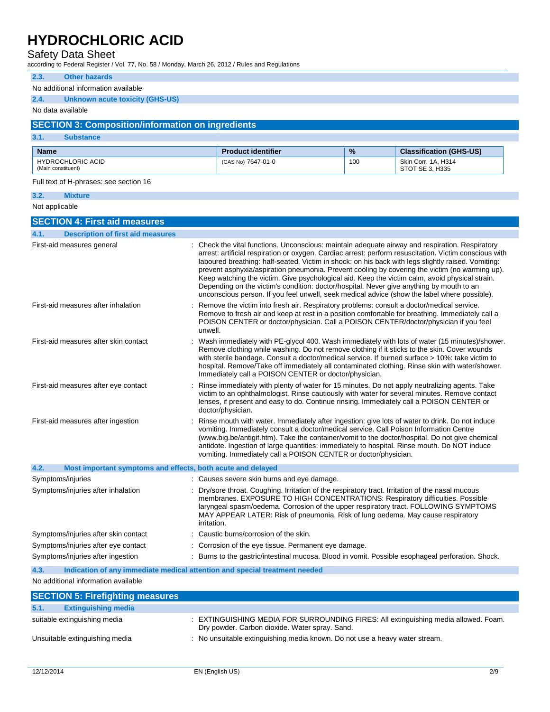## Safety Data Sheet

according to Federal Register / Vol. 77, No. 58 / Monday, March 26, 2012 / Rules and Regulations

| 2.3.<br><b>Other hazards</b>                                        |             |                                                                                                                                                                                     |      |                                                                                                                                                                                                                                                                                                                                                                                                                                                                                                                                                                                                                     |
|---------------------------------------------------------------------|-------------|-------------------------------------------------------------------------------------------------------------------------------------------------------------------------------------|------|---------------------------------------------------------------------------------------------------------------------------------------------------------------------------------------------------------------------------------------------------------------------------------------------------------------------------------------------------------------------------------------------------------------------------------------------------------------------------------------------------------------------------------------------------------------------------------------------------------------------|
| No additional information available                                 |             |                                                                                                                                                                                     |      |                                                                                                                                                                                                                                                                                                                                                                                                                                                                                                                                                                                                                     |
| 2.4.<br><b>Unknown acute toxicity (GHS-US)</b>                      |             |                                                                                                                                                                                     |      |                                                                                                                                                                                                                                                                                                                                                                                                                                                                                                                                                                                                                     |
| No data available                                                   |             |                                                                                                                                                                                     |      |                                                                                                                                                                                                                                                                                                                                                                                                                                                                                                                                                                                                                     |
| <b>SECTION 3: Composition/information on ingredients</b>            |             |                                                                                                                                                                                     |      |                                                                                                                                                                                                                                                                                                                                                                                                                                                                                                                                                                                                                     |
| 3.1.<br><b>Substance</b>                                            |             |                                                                                                                                                                                     |      |                                                                                                                                                                                                                                                                                                                                                                                                                                                                                                                                                                                                                     |
| <b>Name</b>                                                         |             | <b>Product identifier</b>                                                                                                                                                           | $\%$ | <b>Classification (GHS-US)</b>                                                                                                                                                                                                                                                                                                                                                                                                                                                                                                                                                                                      |
| <b>HYDROCHLORIC ACID</b><br>(Main constituent)                      |             | (CAS No) 7647-01-0                                                                                                                                                                  | 100  | Skin Corr. 1A, H314<br>STOT SE 3, H335                                                                                                                                                                                                                                                                                                                                                                                                                                                                                                                                                                              |
| Full text of H-phrases: see section 16                              |             |                                                                                                                                                                                     |      |                                                                                                                                                                                                                                                                                                                                                                                                                                                                                                                                                                                                                     |
| 3.2.<br><b>Mixture</b>                                              |             |                                                                                                                                                                                     |      |                                                                                                                                                                                                                                                                                                                                                                                                                                                                                                                                                                                                                     |
| Not applicable                                                      |             |                                                                                                                                                                                     |      |                                                                                                                                                                                                                                                                                                                                                                                                                                                                                                                                                                                                                     |
| <b>SECTION 4: First aid measures</b>                                |             |                                                                                                                                                                                     |      |                                                                                                                                                                                                                                                                                                                                                                                                                                                                                                                                                                                                                     |
| <b>Description of first aid measures</b><br>4.1.                    |             |                                                                                                                                                                                     |      |                                                                                                                                                                                                                                                                                                                                                                                                                                                                                                                                                                                                                     |
| First-aid measures general                                          |             | Depending on the victim's condition: doctor/hospital. Never give anything by mouth to an                                                                                            |      | : Check the vital functions. Unconscious: maintain adequate airway and respiration. Respiratory<br>arrest: artificial respiration or oxygen. Cardiac arrest: perform resuscitation. Victim conscious with<br>laboured breathing: half-seated. Victim in shock: on his back with legs slightly raised. Vomiting:<br>prevent asphyxia/aspiration pneumonia. Prevent cooling by covering the victim (no warming up).<br>Keep watching the victim. Give psychological aid. Keep the victim calm, avoid physical strain.<br>unconscious person. If you feel unwell, seek medical advice (show the label where possible). |
| First-aid measures after inhalation                                 | unwell.     | Remove the victim into fresh air. Respiratory problems: consult a doctor/medical service.                                                                                           |      | Remove to fresh air and keep at rest in a position comfortable for breathing. Immediately call a<br>POISON CENTER or doctor/physician. Call a POISON CENTER/doctor/physician if you feel                                                                                                                                                                                                                                                                                                                                                                                                                            |
| First-aid measures after skin contact                               |             | Immediately call a POISON CENTER or doctor/physician.                                                                                                                               |      | Wash immediately with PE-glycol 400. Wash immediately with lots of water (15 minutes)/shower.<br>Remove clothing while washing. Do not remove clothing if it sticks to the skin. Cover wounds<br>with sterile bandage. Consult a doctor/medical service. If burned surface > 10%: take victim to<br>hospital. Remove/Take off immediately all contaminated clothing. Rinse skin with water/shower.                                                                                                                                                                                                                  |
| First-aid measures after eye contact                                |             | doctor/physician.                                                                                                                                                                   |      | Rinse immediately with plenty of water for 15 minutes. Do not apply neutralizing agents. Take<br>victim to an ophthalmologist. Rinse cautiously with water for several minutes. Remove contact<br>lenses, if present and easy to do. Continue rinsing. Immediately call a POISON CENTER or                                                                                                                                                                                                                                                                                                                          |
| First-aid measures after ingestion                                  |             | vomiting. Immediately consult a doctor/medical service. Call Poison Information Centre<br>vomiting. Immediately call a POISON CENTER or doctor/physician.                           |      | Rinse mouth with water. Immediately after ingestion: give lots of water to drink. Do not induce<br>(www.big.be/antigif.htm). Take the container/vomit to the doctor/hospital. Do not give chemical<br>antidote. Ingestion of large quantities: immediately to hospital. Rinse mouth. Do NOT induce                                                                                                                                                                                                                                                                                                                  |
| 4.2.<br>Most important symptoms and effects, both acute and delayed |             |                                                                                                                                                                                     |      |                                                                                                                                                                                                                                                                                                                                                                                                                                                                                                                                                                                                                     |
| Symptoms/injuries                                                   |             | : Causes severe skin burns and eye damage.                                                                                                                                          |      |                                                                                                                                                                                                                                                                                                                                                                                                                                                                                                                                                                                                                     |
| Symptoms/injuries after inhalation                                  | irritation. | : Dry/sore throat. Coughing. Irritation of the respiratory tract. Irritation of the nasal mucous<br>MAY APPEAR LATER: Risk of pneumonia. Risk of lung oedema. May cause respiratory |      | membranes. EXPOSURE TO HIGH CONCENTRATIONS: Respiratory difficulties. Possible<br>laryngeal spasm/oedema. Corrosion of the upper respiratory tract. FOLLOWING SYMPTOMS                                                                                                                                                                                                                                                                                                                                                                                                                                              |
| Symptoms/injuries after skin contact                                |             | Caustic burns/corrosion of the skin.                                                                                                                                                |      |                                                                                                                                                                                                                                                                                                                                                                                                                                                                                                                                                                                                                     |

**4.3. Indication of any immediate medical attention and special treatment needed**

Symptoms/injuries after eye contact : Corrosion of the eye tissue. Permanent eye damage.

No additional information available

| <b>SECTION 5: Firefighting measures</b> |                                                                                                                                       |
|-----------------------------------------|---------------------------------------------------------------------------------------------------------------------------------------|
| 5.1.<br><b>Extinguishing media</b>      |                                                                                                                                       |
| suitable extinguishing media            | : EXTINGUISHING MEDIA FOR SURROUNDING FIRES: All extinguishing media allowed. Foam.<br>Dry powder. Carbon dioxide. Water spray. Sand. |
| Unsuitable extinguishing media          | : No unsuitable extinguishing media known. Do not use a heavy water stream.                                                           |

Symptoms/injuries after ingestion : Burns to the gastric/intestinal mucosa. Blood in vomit. Possible esophageal perforation. Shock.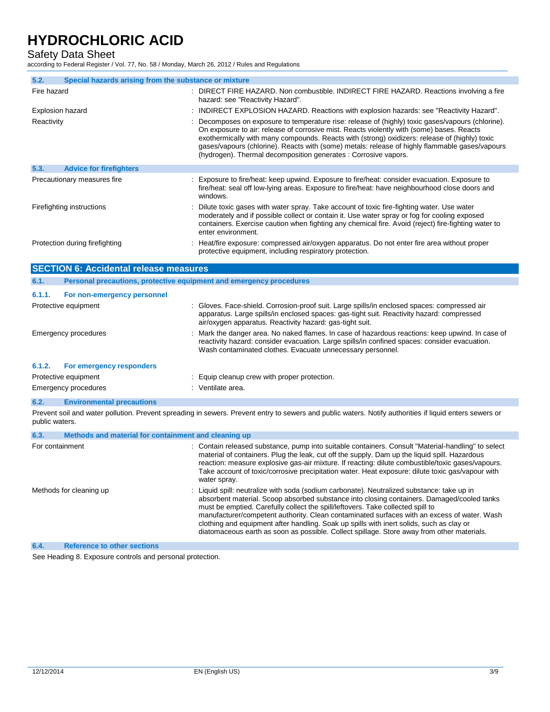Safety Data Sheet

according to Federal Register / Vol. 77, No. 58 / Monday, March 26, 2012 / Rules and Regulations

| 5.2.<br>Special hazards arising from the substance or mixture |                                                                                                                                                                                                                                                                                                                                                                                                                                                                    |
|---------------------------------------------------------------|--------------------------------------------------------------------------------------------------------------------------------------------------------------------------------------------------------------------------------------------------------------------------------------------------------------------------------------------------------------------------------------------------------------------------------------------------------------------|
| Fire hazard                                                   | : DIRECT FIRE HAZARD. Non combustible. INDIRECT FIRE HAZARD. Reactions involving a fire<br>hazard: see "Reactivity Hazard".                                                                                                                                                                                                                                                                                                                                        |
| <b>Explosion hazard</b>                                       | INDIRECT EXPLOSION HAZARD. Reactions with explosion hazards: see "Reactivity Hazard".                                                                                                                                                                                                                                                                                                                                                                              |
| Reactivity                                                    | Decomposes on exposure to temperature rise: release of (highly) toxic gases/vapours (chlorine).<br>On exposure to air: release of corrosive mist. Reacts violently with (some) bases. Reacts<br>exothermically with many compounds. Reacts with (strong) oxidizers: release of (highly) toxic<br>gases/vapours (chlorine). Reacts with (some) metals: release of highly flammable gases/vapours<br>(hydrogen). Thermal decomposition generates : Corrosive vapors. |
| 5.3.<br><b>Advice for firefighters</b>                        |                                                                                                                                                                                                                                                                                                                                                                                                                                                                    |
| Precautionary measures fire                                   | : Exposure to fire/heat: keep upwind. Exposure to fire/heat: consider evacuation. Exposure to<br>fire/heat: seal off low-lying areas. Exposure to fire/heat: have neighbourhood close doors and<br>windows.                                                                                                                                                                                                                                                        |
| Firefighting instructions                                     | Dilute toxic gases with water spray. Take account of toxic fire-fighting water. Use water<br>moderately and if possible collect or contain it. Use water spray or fog for cooling exposed<br>containers. Exercise caution when fighting any chemical fire. Avoid (reject) fire-fighting water to<br>enter environment.                                                                                                                                             |
| Protection during firefighting                                | Heat/fire exposure: compressed air/oxygen apparatus. Do not enter fire area without proper<br>protective equipment, including respiratory protection.                                                                                                                                                                                                                                                                                                              |
| <b>SECTION 6: Accidental release measures</b>                 |                                                                                                                                                                                                                                                                                                                                                                                                                                                                    |
| 6.1.                                                          | Personal precautions, protective equipment and emergency procedures                                                                                                                                                                                                                                                                                                                                                                                                |
| 6.1.1.<br>For non-emergency personnel                         |                                                                                                                                                                                                                                                                                                                                                                                                                                                                    |
| Protective equipment                                          | : Gloves. Face-shield. Corrosion-proof suit. Large spills/in enclosed spaces: compressed air<br>apparatus. Large spills/in enclosed spaces: gas-tight suit. Reactivity hazard: compressed<br>air/oxygen apparatus. Reactivity hazard: gas-tight suit.                                                                                                                                                                                                              |
| Emergency procedures                                          | Mark the danger area. No naked flames. In case of hazardous reactions: keep upwind. In case of<br>reactivity hazard: consider evacuation. Large spills/in confined spaces: consider evacuation.<br>Wash contaminated clothes. Evacuate unnecessary personnel.                                                                                                                                                                                                      |
| 6.1.2.<br>For emergency responders                            |                                                                                                                                                                                                                                                                                                                                                                                                                                                                    |
| Protective equipment                                          | Equip cleanup crew with proper protection.                                                                                                                                                                                                                                                                                                                                                                                                                         |
| Emergency procedures                                          | : Ventilate area.                                                                                                                                                                                                                                                                                                                                                                                                                                                  |
| <b>Environmental precautions</b><br>6.2.                      |                                                                                                                                                                                                                                                                                                                                                                                                                                                                    |
|                                                               | Prevent soil and water pollution. Prevent spreading in sewers. Prevent entry to sewers and public waters. Notify authorities if liquid enters sewers or                                                                                                                                                                                                                                                                                                            |

| 6.3.            | Methods and material for containment and cleaning up |                                                                                                                                                                                                                                                                                                                                                                                                                                                                                                                                                                      |
|-----------------|------------------------------------------------------|----------------------------------------------------------------------------------------------------------------------------------------------------------------------------------------------------------------------------------------------------------------------------------------------------------------------------------------------------------------------------------------------------------------------------------------------------------------------------------------------------------------------------------------------------------------------|
| For containment |                                                      | : Contain released substance, pump into suitable containers. Consult "Material-handling" to select<br>material of containers. Plug the leak, cut off the supply. Dam up the liquid spill. Hazardous<br>reaction: measure explosive gas-air mixture. If reacting: dilute combustible/toxic gases/vapours.<br>Take account of toxic/corrosive precipitation water. Heat exposure: dilute toxic gas/vapour with<br>water spray.                                                                                                                                         |
|                 | Methods for cleaning up                              | : Liquid spill: neutralize with soda (sodium carbonate). Neutralized substance: take up in<br>absorbent material. Scoop absorbed substance into closing containers. Damaged/cooled tanks<br>must be emptied. Carefully collect the spill/leftovers. Take collected spill to<br>manufacturer/competent authority. Clean contaminated surfaces with an excess of water. Wash<br>clothing and equipment after handling. Soak up spills with inert solids, such as clay or<br>diatomaceous earth as soon as possible. Collect spillage. Store away from other materials. |
| 6.4.            | <b>Reference to other sections</b>                   |                                                                                                                                                                                                                                                                                                                                                                                                                                                                                                                                                                      |

See Heading 8. Exposure controls and personal protection.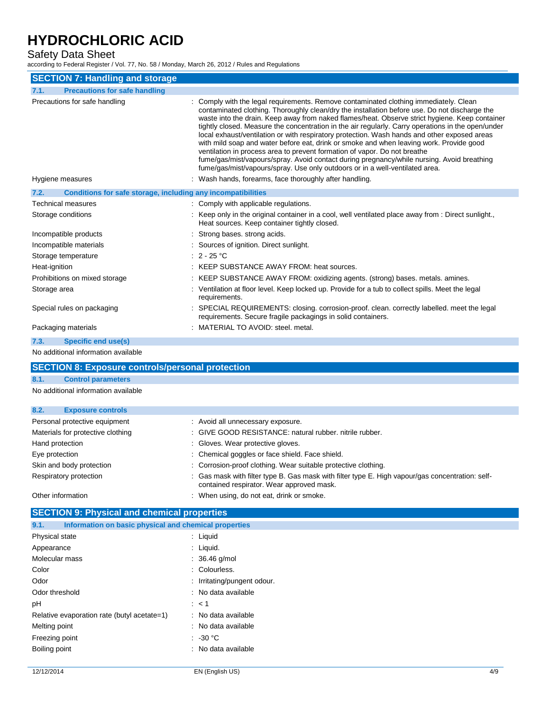## Safety Data Sheet

according to Federal Register / Vol. 77, No. 58 / Monday, March 26, 2012 / Rules and Regulations

| <b>SECTION 7: Handling and storage</b>                               |                                                                                                                                                                                                                                                                                                                                                                                                                                                                                                                                                                                                                                                                                                                                                                                                                                                                                                               |
|----------------------------------------------------------------------|---------------------------------------------------------------------------------------------------------------------------------------------------------------------------------------------------------------------------------------------------------------------------------------------------------------------------------------------------------------------------------------------------------------------------------------------------------------------------------------------------------------------------------------------------------------------------------------------------------------------------------------------------------------------------------------------------------------------------------------------------------------------------------------------------------------------------------------------------------------------------------------------------------------|
| <b>Precautions for safe handling</b><br>7.1.                         |                                                                                                                                                                                                                                                                                                                                                                                                                                                                                                                                                                                                                                                                                                                                                                                                                                                                                                               |
| Precautions for safe handling<br>Hygiene measures                    | Comply with the legal requirements. Remove contaminated clothing immediately. Clean<br>contaminated clothing. Thoroughly clean/dry the installation before use. Do not discharge the<br>waste into the drain. Keep away from naked flames/heat. Observe strict hygiene. Keep container<br>tightly closed. Measure the concentration in the air regularly. Carry operations in the open/under<br>local exhaust/ventilation or with respiratory protection. Wash hands and other exposed areas<br>with mild soap and water before eat, drink or smoke and when leaving work. Provide good<br>ventilation in process area to prevent formation of vapor. Do not breathe<br>fume/gas/mist/vapours/spray. Avoid contact during pregnancy/while nursing. Avoid breathing<br>fume/gas/mist/vapours/spray. Use only outdoors or in a well-ventilated area.<br>: Wash hands, forearms, face thoroughly after handling. |
|                                                                      |                                                                                                                                                                                                                                                                                                                                                                                                                                                                                                                                                                                                                                                                                                                                                                                                                                                                                                               |
| Conditions for safe storage, including any incompatibilities<br>7.2. |                                                                                                                                                                                                                                                                                                                                                                                                                                                                                                                                                                                                                                                                                                                                                                                                                                                                                                               |
| <b>Technical measures</b>                                            | : Comply with applicable regulations.                                                                                                                                                                                                                                                                                                                                                                                                                                                                                                                                                                                                                                                                                                                                                                                                                                                                         |
| Storage conditions                                                   | Keep only in the original container in a cool, well ventilated place away from : Direct sunlight.,<br>Heat sources. Keep container tightly closed.                                                                                                                                                                                                                                                                                                                                                                                                                                                                                                                                                                                                                                                                                                                                                            |
| Incompatible products                                                | : Strong bases, strong acids.                                                                                                                                                                                                                                                                                                                                                                                                                                                                                                                                                                                                                                                                                                                                                                                                                                                                                 |
| Incompatible materials                                               | Sources of ignition. Direct sunlight.                                                                                                                                                                                                                                                                                                                                                                                                                                                                                                                                                                                                                                                                                                                                                                                                                                                                         |
| Storage temperature                                                  | $: 2 - 25 °C$                                                                                                                                                                                                                                                                                                                                                                                                                                                                                                                                                                                                                                                                                                                                                                                                                                                                                                 |
| Heat-ignition                                                        | KEEP SUBSTANCE AWAY FROM: heat sources.                                                                                                                                                                                                                                                                                                                                                                                                                                                                                                                                                                                                                                                                                                                                                                                                                                                                       |
| Prohibitions on mixed storage                                        | KEEP SUBSTANCE AWAY FROM: oxidizing agents. (strong) bases. metals. amines.                                                                                                                                                                                                                                                                                                                                                                                                                                                                                                                                                                                                                                                                                                                                                                                                                                   |
| Storage area                                                         | : Ventilation at floor level. Keep locked up. Provide for a tub to collect spills. Meet the legal<br>requirements.                                                                                                                                                                                                                                                                                                                                                                                                                                                                                                                                                                                                                                                                                                                                                                                            |
| Special rules on packaging                                           | : SPECIAL REQUIREMENTS: closing. corrosion-proof. clean. correctly labelled. meet the legal<br>requirements. Secure fragile packagings in solid containers.                                                                                                                                                                                                                                                                                                                                                                                                                                                                                                                                                                                                                                                                                                                                                   |
| Packaging materials                                                  | : MATERIAL TO AVOID: steel. metal.                                                                                                                                                                                                                                                                                                                                                                                                                                                                                                                                                                                                                                                                                                                                                                                                                                                                            |
| <b>Specific end use(s)</b><br>7.3.                                   |                                                                                                                                                                                                                                                                                                                                                                                                                                                                                                                                                                                                                                                                                                                                                                                                                                                                                                               |
| No additional information available                                  |                                                                                                                                                                                                                                                                                                                                                                                                                                                                                                                                                                                                                                                                                                                                                                                                                                                                                                               |
| <b>SECTION 8: Exposure controls/personal protection</b>              |                                                                                                                                                                                                                                                                                                                                                                                                                                                                                                                                                                                                                                                                                                                                                                                                                                                                                                               |
| 8.1.<br><b>Control parameters</b>                                    |                                                                                                                                                                                                                                                                                                                                                                                                                                                                                                                                                                                                                                                                                                                                                                                                                                                                                                               |
| No additional information available                                  |                                                                                                                                                                                                                                                                                                                                                                                                                                                                                                                                                                                                                                                                                                                                                                                                                                                                                                               |
|                                                                      |                                                                                                                                                                                                                                                                                                                                                                                                                                                                                                                                                                                                                                                                                                                                                                                                                                                                                                               |
|                                                                      |                                                                                                                                                                                                                                                                                                                                                                                                                                                                                                                                                                                                                                                                                                                                                                                                                                                                                                               |

| 8.2.<br><b>Exposure controls</b>  |                                                                                                                                               |
|-----------------------------------|-----------------------------------------------------------------------------------------------------------------------------------------------|
| Personal protective equipment     | : Avoid all unnecessary exposure.                                                                                                             |
| Materials for protective clothing | : GIVE GOOD RESISTANCE: natural rubber, nitrile rubber,                                                                                       |
| Hand protection                   | : Gloves. Wear protective gloves.                                                                                                             |
| Eye protection                    | : Chemical goggles or face shield. Face shield.                                                                                               |
| Skin and body protection          | : Corrosion-proof clothing. Wear suitable protective clothing.                                                                                |
| Respiratory protection            | : Gas mask with filter type B. Gas mask with filter type E. High vapour/gas concentration: self-<br>contained respirator. Wear approved mask. |
| Other information                 | : When using, do not eat, drink or smoke.                                                                                                     |

## **SECTION 9: Physical and chemical properties**

| 9.1.                                        | Information on basic physical and chemical properties |  |  |
|---------------------------------------------|-------------------------------------------------------|--|--|
| Physical state                              | : Liquid                                              |  |  |
| Appearance                                  | $:$ Liquid.                                           |  |  |
| Molecular mass                              | $: 36.46$ g/mol                                       |  |  |
| Color                                       | : Colourless.                                         |  |  |
| Odor                                        | : Irritating/pungent odour.                           |  |  |
| Odor threshold                              | : No data available                                   |  |  |
| рH                                          | $\therefore$ < 1                                      |  |  |
| Relative evaporation rate (butyl acetate=1) | : No data available                                   |  |  |
| Melting point                               | : No data available                                   |  |  |
| Freezing point                              | $\therefore$ -30 °C                                   |  |  |
| Boiling point                               | : No data available                                   |  |  |
|                                             |                                                       |  |  |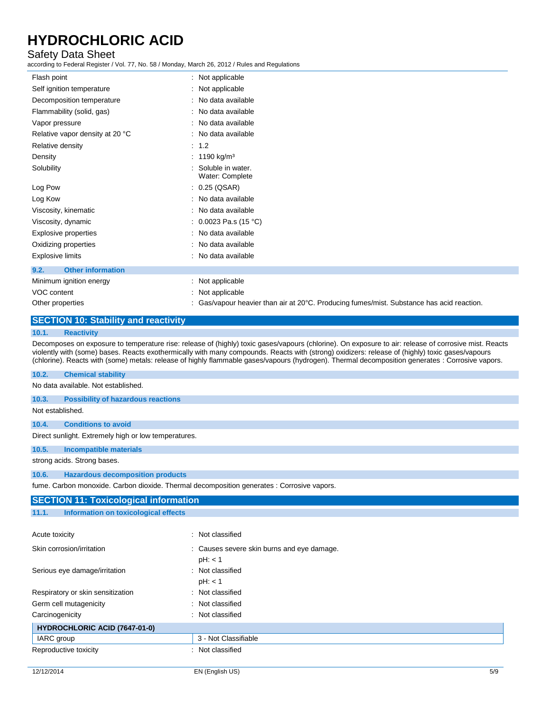### Safety Data Sheet

according to Federal Register / Vol. 77, No. 58 / Monday, March 26, 2012 / Rules and Regulations

| Flash point                                 | : Not applicable                                                                                    |
|---------------------------------------------|-----------------------------------------------------------------------------------------------------|
| Self ignition temperature                   | : Not applicable                                                                                    |
| Decomposition temperature                   | : No data available                                                                                 |
| Flammability (solid, gas)                   | : No data available                                                                                 |
| Vapor pressure                              | : No data available                                                                                 |
| Relative vapor density at 20 °C             | : No data available                                                                                 |
| Relative density                            | : 1.2                                                                                               |
| Density                                     | : 1190 kg/m <sup>3</sup>                                                                            |
| Solubility                                  | Soluble in water.<br>Water: Complete                                                                |
| Log Pow                                     | : 0.25 (QSAR)                                                                                       |
| Log Kow                                     | : No data available                                                                                 |
| Viscosity, kinematic                        | : No data available                                                                                 |
| Viscosity, dynamic                          | : $0.0023$ Pa.s (15 °C)                                                                             |
| Explosive properties                        | : No data available                                                                                 |
| Oxidizing properties                        | : No data available                                                                                 |
| Explosive limits                            | : No data available                                                                                 |
| <b>Other information</b><br>9.2.            |                                                                                                     |
| Minimum ignition energy                     | : Not applicable                                                                                    |
| VOC content                                 | : Not applicable                                                                                    |
| Other properties                            | : Gas/vapour heavier than air at $20^{\circ}$ C. Producing fumes/mist. Substance has acid reaction. |
| <b>SECTION 10: Stability and reactivity</b> |                                                                                                     |
| 10.1.<br><b>Reactivity</b>                  |                                                                                                     |

Decomposes on exposure to temperature rise: release of (highly) toxic gases/vapours (chlorine). On exposure to air: release of corrosive mist. Reacts violently with (some) bases. Reacts exothermically with many compounds. Reacts with (strong) oxidizers: release of (highly) toxic gases/vapours (chlorine). Reacts with (some) metals: release of highly flammable gases/vapours (hydrogen). Thermal decomposition generates : Corrosive vapors.

#### **10.2. Chemical stability**

No data available. Not established.

**10.3. Possibility of hazardous reactions**

#### Not established.

**10.4. Conditions to avoid**

Direct sunlight. Extremely high or low temperatures.

**10.5. Incompatible materials**

strong acids. Strong bases.

#### **10.6. Hazardous decomposition products**

fume. Carbon monoxide. Carbon dioxide. Thermal decomposition generates : Corrosive vapors.

| <b>SECTION 11: Toxicological information</b>  |                                            |     |  |
|-----------------------------------------------|--------------------------------------------|-----|--|
| Information on toxicological effects<br>11.1. |                                            |     |  |
|                                               |                                            |     |  |
| Acute toxicity                                | : Not classified                           |     |  |
| Skin corrosion/irritation                     | : Causes severe skin burns and eye damage. |     |  |
|                                               | pH: < 1                                    |     |  |
| Serious eye damage/irritation                 | : Not classified                           |     |  |
|                                               | pH: < 1                                    |     |  |
| Respiratory or skin sensitization             | : Not classified                           |     |  |
| Germ cell mutagenicity                        | : Not classified                           |     |  |
| Carcinogenicity                               | : Not classified                           |     |  |
| <b>HYDROCHLORIC ACID (7647-01-0)</b>          |                                            |     |  |
| IARC group                                    | 3 - Not Classifiable                       |     |  |
| Reproductive toxicity                         | : Not classified                           |     |  |
|                                               |                                            |     |  |
| 12/12/2014                                    | EN (English US)                            | 5/9 |  |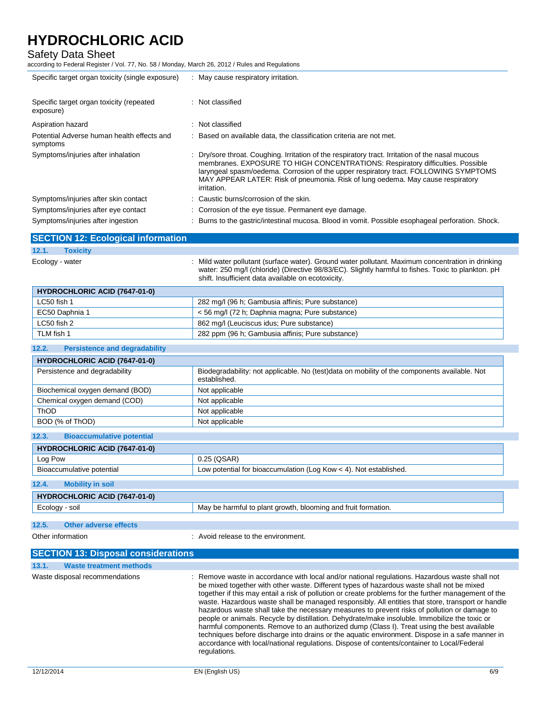### Safety Data Sheet

according to Federal Register / Vol. 77, No. 58 / Monday, March 26, 2012 / Rules and Regulations

| Specific target organ toxicity (single exposure)       | : May cause respiratory irritation.                                                                                                                                                                                                                                                                                                                                          |
|--------------------------------------------------------|------------------------------------------------------------------------------------------------------------------------------------------------------------------------------------------------------------------------------------------------------------------------------------------------------------------------------------------------------------------------------|
| Specific target organ toxicity (repeated<br>exposure)  | : Not classified                                                                                                                                                                                                                                                                                                                                                             |
| Aspiration hazard                                      | : Not classified                                                                                                                                                                                                                                                                                                                                                             |
| Potential Adverse human health effects and<br>symptoms | : Based on available data, the classification criteria are not met.                                                                                                                                                                                                                                                                                                          |
| Symptoms/injuries after inhalation                     | : Dry/sore throat. Coughing. Irritation of the respiratory tract. Irritation of the nasal mucous<br>membranes. EXPOSURE TO HIGH CONCENTRATIONS: Respiratory difficulties. Possible<br>laryngeal spasm/oedema. Corrosion of the upper respiratory tract. FOLLOWING SYMPTOMS<br>MAY APPEAR LATER: Risk of pneumonia. Risk of lung oedema. May cause respiratory<br>irritation. |
| Symptoms/injuries after skin contact                   | : Caustic burns/corrosion of the skin.                                                                                                                                                                                                                                                                                                                                       |
| Symptoms/injuries after eye contact                    | : Corrosion of the eye tissue. Permanent eye damage.                                                                                                                                                                                                                                                                                                                         |
| Symptoms/injuries after ingestion                      | : Burns to the gastric/intestinal mucosa. Blood in vomit. Possible esophageal perforation. Shock.                                                                                                                                                                                                                                                                            |

|                 | <b>SECTION 12: Ecological information</b> |                                                                                                                                                                                                         |
|-----------------|-------------------------------------------|---------------------------------------------------------------------------------------------------------------------------------------------------------------------------------------------------------|
| 12.1.           | <b>Toxicity</b>                           |                                                                                                                                                                                                         |
| Ecology - water |                                           | : Mild water pollutant (surface water). Ground water pollutant. Maximum concentration in drinking<br>water: 250 mg/l (chloride) (Directive 98/83/EC). Slightly harmful to fishes. Toxic to plankton. pH |

shift. Insufficient data available on ecotoxicity.

| <b>HYDROCHLORIC ACID (7647-01-0)</b> |                                                   |  |
|--------------------------------------|---------------------------------------------------|--|
| LC50 fish 1                          | 282 mg/l (96 h; Gambusia affinis; Pure substance) |  |
| EC50 Daphnia 1                       | < 56 mg/l (72 h; Daphnia magna; Pure substance)   |  |
| LC50 fish 2                          | 862 mg/l (Leuciscus idus; Pure substance)         |  |
| TLM fish 1                           | 282 ppm (96 h; Gambusia affinis; Pure substance)  |  |

### **12.2. Persistence and degradability**

| <b>HYDROCHLORIC ACID (7647-01-0)</b> |                                                                                                              |  |
|--------------------------------------|--------------------------------------------------------------------------------------------------------------|--|
| Persistence and degradability        | Biodegradability: not applicable. No (test)data on mobility of the components available. Not<br>established. |  |
| Biochemical oxygen demand (BOD)      | Not applicable                                                                                               |  |
| Chemical oxygen demand (COD)         | Not applicable                                                                                               |  |
| ThOD                                 | Not applicable                                                                                               |  |
| BOD (% of ThOD)                      | Not applicable                                                                                               |  |

| 12.3.<br><b>Bioaccumulative potential</b> |                                                                   |  |  |
|-------------------------------------------|-------------------------------------------------------------------|--|--|
| <b>HYDROCHLORIC ACID (7647-01-0)</b>      |                                                                   |  |  |
| Log Pow                                   | $0.25$ (QSAR)                                                     |  |  |
| Bioaccumulative potential                 | Low potential for bioaccumulation (Log Kow < 4). Not established. |  |  |
| 12.4.<br><b>Mobility in soil</b>          |                                                                   |  |  |
| <b>HYDROCHLORIC ACID (7647-01-0)</b>      |                                                                   |  |  |
| Ecology - soil                            | May be harmful to plant growth, blooming and fruit formation.     |  |  |
|                                           |                                                                   |  |  |
| 42E<br>Other adverse effects              |                                                                   |  |  |

#### **12.5. Other adverse effects**

Other information **COLOREGY COLOREGY COLOREGY COLOREGY COLOREGY COLOREGY COLOREGY COLOREGY COLOREGY COLOREGY COLOREGY COLOREGY COLOREGY COLOREGY COLOREGY COLOREGY COLOREGY COLOREGY COLOR** 

|       | <b>SECTION 13: Disposal considerations</b> |                                                                                                                                                                                                                                                                                                                                                                                                                                                                                                                                                                                                                                                                                                                                                                                                                                                                                                                          |
|-------|--------------------------------------------|--------------------------------------------------------------------------------------------------------------------------------------------------------------------------------------------------------------------------------------------------------------------------------------------------------------------------------------------------------------------------------------------------------------------------------------------------------------------------------------------------------------------------------------------------------------------------------------------------------------------------------------------------------------------------------------------------------------------------------------------------------------------------------------------------------------------------------------------------------------------------------------------------------------------------|
| 13.1. | <b>Waste treatment methods</b>             |                                                                                                                                                                                                                                                                                                                                                                                                                                                                                                                                                                                                                                                                                                                                                                                                                                                                                                                          |
|       | Waste disposal recommendations             | : Remove waste in accordance with local and/or national regulations. Hazardous waste shall not<br>be mixed together with other waste. Different types of hazardous waste shall not be mixed<br>together if this may entail a risk of pollution or create problems for the further management of the<br>waste. Hazardous waste shall be managed responsibly. All entities that store, transport or handle<br>hazardous waste shall take the necessary measures to prevent risks of pollution or damage to<br>people or animals. Recycle by distillation. Dehydrate/make insoluble. Immobilize the toxic or<br>harmful components. Remove to an authorized dump (Class I). Treat using the best available<br>techniques before discharge into drains or the aguatic environment. Dispose in a safe manner in<br>accordance with local/national regulations. Dispose of contents/container to Local/Federal<br>regulations. |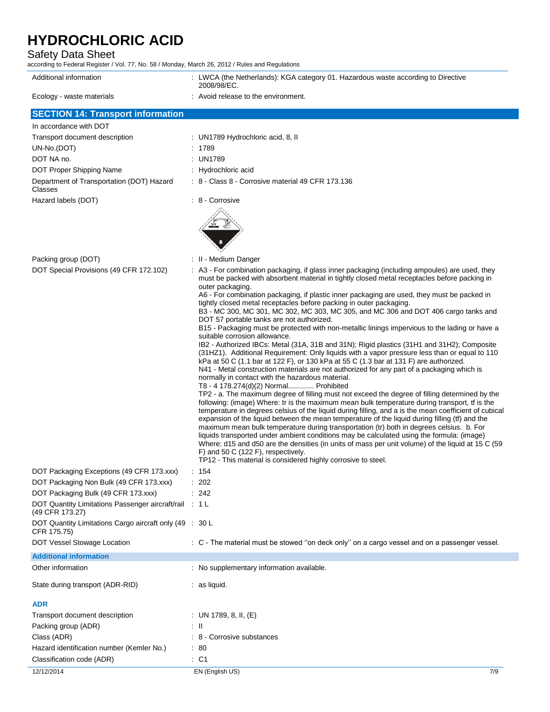## Safety Data Sheet

according to Federal Register / Vol. 77, No. 58 / Monday, March 26, 2012 / Rules and Regulations

| Additional information                                                    | : LWCA (the Netherlands): KGA category 01. Hazardous waste according to Directive<br>2008/98/EC.                                                                                                                                                                                                                                                                                                                                                                                                                                                                                                                                                                                                                                                                                                                                                                                                                                                                                                                                                                                                                                                                                                                                                                                                                                                                                                                                                                                                                                                                                                                                                                                                                                                                                                                                                                                                                                                                       |
|---------------------------------------------------------------------------|------------------------------------------------------------------------------------------------------------------------------------------------------------------------------------------------------------------------------------------------------------------------------------------------------------------------------------------------------------------------------------------------------------------------------------------------------------------------------------------------------------------------------------------------------------------------------------------------------------------------------------------------------------------------------------------------------------------------------------------------------------------------------------------------------------------------------------------------------------------------------------------------------------------------------------------------------------------------------------------------------------------------------------------------------------------------------------------------------------------------------------------------------------------------------------------------------------------------------------------------------------------------------------------------------------------------------------------------------------------------------------------------------------------------------------------------------------------------------------------------------------------------------------------------------------------------------------------------------------------------------------------------------------------------------------------------------------------------------------------------------------------------------------------------------------------------------------------------------------------------------------------------------------------------------------------------------------------------|
| Ecology - waste materials                                                 | : Avoid release to the environment.                                                                                                                                                                                                                                                                                                                                                                                                                                                                                                                                                                                                                                                                                                                                                                                                                                                                                                                                                                                                                                                                                                                                                                                                                                                                                                                                                                                                                                                                                                                                                                                                                                                                                                                                                                                                                                                                                                                                    |
| <b>SECTION 14: Transport information</b>                                  |                                                                                                                                                                                                                                                                                                                                                                                                                                                                                                                                                                                                                                                                                                                                                                                                                                                                                                                                                                                                                                                                                                                                                                                                                                                                                                                                                                                                                                                                                                                                                                                                                                                                                                                                                                                                                                                                                                                                                                        |
| In accordance with DOT                                                    |                                                                                                                                                                                                                                                                                                                                                                                                                                                                                                                                                                                                                                                                                                                                                                                                                                                                                                                                                                                                                                                                                                                                                                                                                                                                                                                                                                                                                                                                                                                                                                                                                                                                                                                                                                                                                                                                                                                                                                        |
| Transport document description                                            | : UN1789 Hydrochloric acid, 8, II                                                                                                                                                                                                                                                                                                                                                                                                                                                                                                                                                                                                                                                                                                                                                                                                                                                                                                                                                                                                                                                                                                                                                                                                                                                                                                                                                                                                                                                                                                                                                                                                                                                                                                                                                                                                                                                                                                                                      |
| UN-No.(DOT)                                                               | : 1789                                                                                                                                                                                                                                                                                                                                                                                                                                                                                                                                                                                                                                                                                                                                                                                                                                                                                                                                                                                                                                                                                                                                                                                                                                                                                                                                                                                                                                                                                                                                                                                                                                                                                                                                                                                                                                                                                                                                                                 |
| DOT NA no.                                                                | : UN1789                                                                                                                                                                                                                                                                                                                                                                                                                                                                                                                                                                                                                                                                                                                                                                                                                                                                                                                                                                                                                                                                                                                                                                                                                                                                                                                                                                                                                                                                                                                                                                                                                                                                                                                                                                                                                                                                                                                                                               |
| DOT Proper Shipping Name                                                  | : Hydrochloric acid                                                                                                                                                                                                                                                                                                                                                                                                                                                                                                                                                                                                                                                                                                                                                                                                                                                                                                                                                                                                                                                                                                                                                                                                                                                                                                                                                                                                                                                                                                                                                                                                                                                                                                                                                                                                                                                                                                                                                    |
| Department of Transportation (DOT) Hazard<br>Classes                      | : 8 - Class 8 - Corrosive material 49 CFR 173.136                                                                                                                                                                                                                                                                                                                                                                                                                                                                                                                                                                                                                                                                                                                                                                                                                                                                                                                                                                                                                                                                                                                                                                                                                                                                                                                                                                                                                                                                                                                                                                                                                                                                                                                                                                                                                                                                                                                      |
| Hazard labels (DOT)                                                       | : 8 - Corrosive                                                                                                                                                                                                                                                                                                                                                                                                                                                                                                                                                                                                                                                                                                                                                                                                                                                                                                                                                                                                                                                                                                                                                                                                                                                                                                                                                                                                                                                                                                                                                                                                                                                                                                                                                                                                                                                                                                                                                        |
| Packing group (DOT)                                                       | : II - Medium Danger                                                                                                                                                                                                                                                                                                                                                                                                                                                                                                                                                                                                                                                                                                                                                                                                                                                                                                                                                                                                                                                                                                                                                                                                                                                                                                                                                                                                                                                                                                                                                                                                                                                                                                                                                                                                                                                                                                                                                   |
| DOT Special Provisions (49 CFR 172.102)                                   | : A3 - For combination packaging, if glass inner packaging (including ampoules) are used, they<br>must be packed with absorbent material in tightly closed metal receptacles before packing in<br>outer packaging.<br>A6 - For combination packaging, if plastic inner packaging are used, they must be packed in<br>tightly closed metal receptacles before packing in outer packaging.<br>B3 - MC 300, MC 301, MC 302, MC 303, MC 305, and MC 306 and DOT 406 cargo tanks and<br>DOT 57 portable tanks are not authorized.<br>B15 - Packaging must be protected with non-metallic linings impervious to the lading or have a<br>suitable corrosion allowance.<br>IB2 - Authorized IBCs: Metal (31A, 31B and 31N); Rigid plastics (31H1 and 31H2); Composite<br>(31HZ1). Additional Requirement: Only liquids with a vapor pressure less than or equal to 110<br>kPa at 50 C (1.1 bar at 122 F), or 130 kPa at 55 C (1.3 bar at 131 F) are authorized.<br>N41 - Metal construction materials are not authorized for any part of a packaging which is<br>normally in contact with the hazardous material.<br>T8 - 4 178.274(d)(2) Normal Prohibited<br>TP2 - a. The maximum degree of filling must not exceed the degree of filling determined by the<br>following: (image) Where: tr is the maximum mean bulk temperature during transport, if is the<br>temperature in degrees celsius of the liquid during filling, and a is the mean coefficient of cubical<br>expansion of the liquid between the mean temperature of the liquid during filling (tf) and the<br>maximum mean bulk temperature during transportation (tr) both in degrees celsius. b. For<br>liquids transported under ambient conditions may be calculated using the formula: (image)<br>Where: d15 and d50 are the densities (in units of mass per unit volume) of the liquid at 15 C (59<br>F) and 50 C (122 F), respectively.<br>TP12 - This material is considered highly corrosive to steel. |
| DOT Packaging Exceptions (49 CFR 173.xxx)                                 | : 154                                                                                                                                                                                                                                                                                                                                                                                                                                                                                                                                                                                                                                                                                                                                                                                                                                                                                                                                                                                                                                                                                                                                                                                                                                                                                                                                                                                                                                                                                                                                                                                                                                                                                                                                                                                                                                                                                                                                                                  |
| DOT Packaging Non Bulk (49 CFR 173.xxx)                                   | : 202                                                                                                                                                                                                                                                                                                                                                                                                                                                                                                                                                                                                                                                                                                                                                                                                                                                                                                                                                                                                                                                                                                                                                                                                                                                                                                                                                                                                                                                                                                                                                                                                                                                                                                                                                                                                                                                                                                                                                                  |
| DOT Packaging Bulk (49 CFR 173.xxx)                                       | : 242                                                                                                                                                                                                                                                                                                                                                                                                                                                                                                                                                                                                                                                                                                                                                                                                                                                                                                                                                                                                                                                                                                                                                                                                                                                                                                                                                                                                                                                                                                                                                                                                                                                                                                                                                                                                                                                                                                                                                                  |
| DOT Quantity Limitations Passenger aircraft/rail : 1 L<br>(49 CFR 173.27) |                                                                                                                                                                                                                                                                                                                                                                                                                                                                                                                                                                                                                                                                                                                                                                                                                                                                                                                                                                                                                                                                                                                                                                                                                                                                                                                                                                                                                                                                                                                                                                                                                                                                                                                                                                                                                                                                                                                                                                        |
| DOT Quantity Limitations Cargo aircraft only (49 : 30 L<br>CFR 175.75)    |                                                                                                                                                                                                                                                                                                                                                                                                                                                                                                                                                                                                                                                                                                                                                                                                                                                                                                                                                                                                                                                                                                                                                                                                                                                                                                                                                                                                                                                                                                                                                                                                                                                                                                                                                                                                                                                                                                                                                                        |
| DOT Vessel Stowage Location                                               | : C - The material must be stowed "on deck only" on a cargo vessel and on a passenger vessel.                                                                                                                                                                                                                                                                                                                                                                                                                                                                                                                                                                                                                                                                                                                                                                                                                                                                                                                                                                                                                                                                                                                                                                                                                                                                                                                                                                                                                                                                                                                                                                                                                                                                                                                                                                                                                                                                          |
| <b>Additional information</b>                                             |                                                                                                                                                                                                                                                                                                                                                                                                                                                                                                                                                                                                                                                                                                                                                                                                                                                                                                                                                                                                                                                                                                                                                                                                                                                                                                                                                                                                                                                                                                                                                                                                                                                                                                                                                                                                                                                                                                                                                                        |
| Other information                                                         | : No supplementary information available.                                                                                                                                                                                                                                                                                                                                                                                                                                                                                                                                                                                                                                                                                                                                                                                                                                                                                                                                                                                                                                                                                                                                                                                                                                                                                                                                                                                                                                                                                                                                                                                                                                                                                                                                                                                                                                                                                                                              |
| State during transport (ADR-RID)                                          | : as liquid.                                                                                                                                                                                                                                                                                                                                                                                                                                                                                                                                                                                                                                                                                                                                                                                                                                                                                                                                                                                                                                                                                                                                                                                                                                                                                                                                                                                                                                                                                                                                                                                                                                                                                                                                                                                                                                                                                                                                                           |
| <b>ADR</b>                                                                |                                                                                                                                                                                                                                                                                                                                                                                                                                                                                                                                                                                                                                                                                                                                                                                                                                                                                                                                                                                                                                                                                                                                                                                                                                                                                                                                                                                                                                                                                                                                                                                                                                                                                                                                                                                                                                                                                                                                                                        |
| Transport document description                                            | : UN 1789, 8, II, $(E)$                                                                                                                                                                                                                                                                                                                                                                                                                                                                                                                                                                                                                                                                                                                                                                                                                                                                                                                                                                                                                                                                                                                                                                                                                                                                                                                                                                                                                                                                                                                                                                                                                                                                                                                                                                                                                                                                                                                                                |
| Packing group (ADR)                                                       | $\pm$ 11                                                                                                                                                                                                                                                                                                                                                                                                                                                                                                                                                                                                                                                                                                                                                                                                                                                                                                                                                                                                                                                                                                                                                                                                                                                                                                                                                                                                                                                                                                                                                                                                                                                                                                                                                                                                                                                                                                                                                               |
| Class (ADR)                                                               | : 8 - Corrosive substances                                                                                                                                                                                                                                                                                                                                                                                                                                                                                                                                                                                                                                                                                                                                                                                                                                                                                                                                                                                                                                                                                                                                                                                                                                                                                                                                                                                                                                                                                                                                                                                                                                                                                                                                                                                                                                                                                                                                             |
| Hazard identification number (Kemler No.)                                 | : 80                                                                                                                                                                                                                                                                                                                                                                                                                                                                                                                                                                                                                                                                                                                                                                                                                                                                                                                                                                                                                                                                                                                                                                                                                                                                                                                                                                                                                                                                                                                                                                                                                                                                                                                                                                                                                                                                                                                                                                   |
| Classification code (ADR)                                                 | $\therefore$ C1                                                                                                                                                                                                                                                                                                                                                                                                                                                                                                                                                                                                                                                                                                                                                                                                                                                                                                                                                                                                                                                                                                                                                                                                                                                                                                                                                                                                                                                                                                                                                                                                                                                                                                                                                                                                                                                                                                                                                        |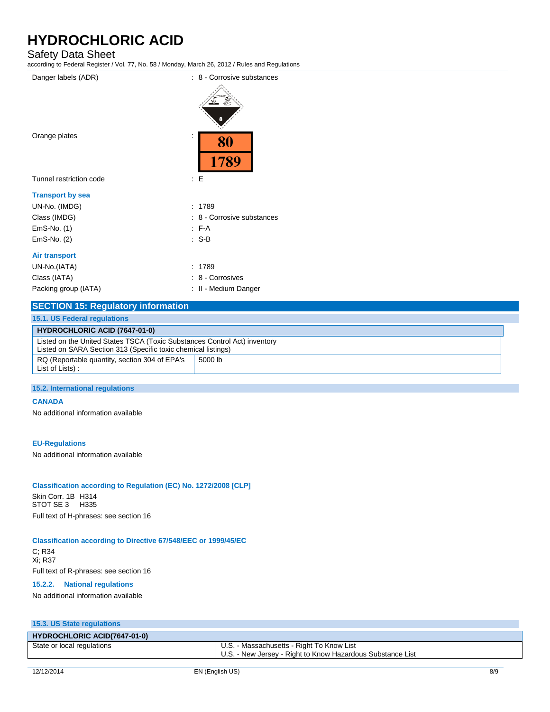## Safety Data Sheet

| according to Federal Register / Vol. 77, No. 58 / Monday, March 26, 2012 / Rules and Regulations |                            |  |  |
|--------------------------------------------------------------------------------------------------|----------------------------|--|--|
| Danger labels (ADR)                                                                              | : 8 - Corrosive substances |  |  |
| Orange plates                                                                                    | 80<br>1789                 |  |  |
| Tunnel restriction code                                                                          | : E                        |  |  |
| <b>Transport by sea</b>                                                                          |                            |  |  |
| UN-No. (IMDG)                                                                                    | 1789<br>÷                  |  |  |
| Class (IMDG)                                                                                     | : 8 - Corrosive substances |  |  |
| EmS-No. (1)                                                                                      | F A                        |  |  |
| EmS-No. (2)                                                                                      | $: S-B$                    |  |  |
| <b>Air transport</b>                                                                             |                            |  |  |
| UN-No.(IATA)                                                                                     | 1789                       |  |  |
| Class (IATA)                                                                                     | 8 - Corrosives             |  |  |
| Packing group (IATA)                                                                             | II - Medium Danger         |  |  |
|                                                                                                  |                            |  |  |

## **SECTION 15: Regulatory information**

| <b>15.1. US Federal regulations</b>                                                                                                        |         |  |  |
|--------------------------------------------------------------------------------------------------------------------------------------------|---------|--|--|
| <b>HYDROCHLORIC ACID (7647-01-0)</b>                                                                                                       |         |  |  |
| Listed on the United States TSCA (Toxic Substances Control Act) inventory<br>Listed on SARA Section 313 (Specific toxic chemical listings) |         |  |  |
| RQ (Reportable quantity, section 304 of EPA's<br>List of Lists):                                                                           | 5000 lb |  |  |

#### **15.2. International regulations**

#### **CANADA**

No additional information available

#### **EU-Regulations**

No additional information available

### **Classification according to Regulation (EC) No. 1272/2008 [CLP]**

Skin Corr. 1B H314 STOT SE 3 H335 Full text of H-phrases: see section 16

#### **Classification according to Directive 67/548/EEC or 1999/45/EC**

C; R34 Xi; R37 Full text of R-phrases: see section 16

#### **15.2.2. National regulations**

No additional information available

### **15.3. US State regulations**

| <b>HYDROCHLORIC ACID(7647-01-0)</b> |                                                                                                         |
|-------------------------------------|---------------------------------------------------------------------------------------------------------|
| State or local regulations          | U.S. - Massachusetts - Right To Know List<br>U.S. - New Jersey - Right to Know Hazardous Substance List |
|                                     |                                                                                                         |